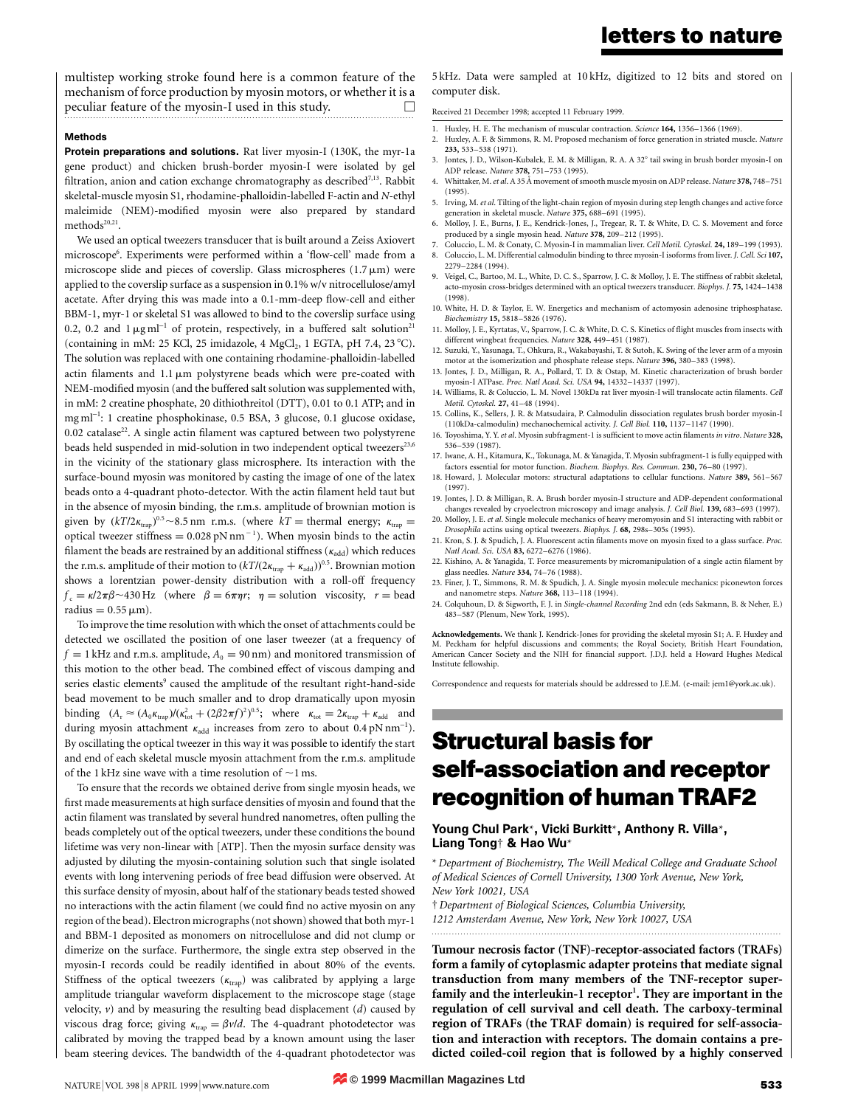multistep working stroke found here is a common feature of the mechanism of force production by myosin motors, or whether it is a peculiar feature of the myosin-I used in this study.

#### Methods

Protein preparations and solutions. Rat liver myosin-I (130K, the myr-1a gene product) and chicken brush-border myosin-I were isolated by gel filtration, anion and cation exchange chromatography as described<sup>7,13</sup>. Rabbit skeletal-muscle myosin S1, rhodamine-phalloidin-labelled F-actin and N-ethyl maleimide (NEM)-modified myosin were also prepared by standard  $methods<sup>20,21</sup>$ .

We used an optical tweezers transducer that is built around a Zeiss Axiovert microscope<sup>6</sup>. Experiments were performed within a 'flow-cell' made from a microscope slide and pieces of coverslip. Glass microspheres  $(1.7 \mu m)$  were applied to the coverslip surface as a suspension in 0.1% w/v nitrocellulose/amyl acetate. After drying this was made into a 0.1-mm-deep flow-cell and either BBM-1, myr-1 or skeletal S1 was allowed to bind to the coverslip surface using 0.2, 0.2 and  $1 \mu g$  ml<sup>-1</sup> of protein, respectively, in a buffered salt solution<sup>21</sup> (containing in mM: 25 KCl, 25 imidazole, 4 MgCl<sub>2</sub>, 1 EGTA, pH 7.4, 23 °C). The solution was replaced with one containing rhodamine-phalloidin-labelled actin filaments and  $1.1 \mu m$  polystyrene beads which were pre-coated with NEM-modified myosin (and the buffered salt solution was supplemented with, in mM: 2 creatine phosphate, 20 dithiothreitol (DTT), 0.01 to 0.1 ATP; and in mg ml<sup>-1</sup>: 1 creatine phosphokinase, 0.5 BSA, 3 glucose, 0.1 glucose oxidase,  $0.02$  catalase<sup>22</sup>. A single actin filament was captured between two polystyrene beads held suspended in mid-solution in two independent optical tweezers<sup>23,6</sup> in the vicinity of the stationary glass microsphere. Its interaction with the surface-bound myosin was monitored by casting the image of one of the latex beads onto a 4-quadrant photo-detector. With the actin filament held taut but in the absence of myosin binding, the r.m.s. amplitude of brownian motion is given by  $(kT/2\kappa_{\text{trap}})^{0.5}$  ~8.5 nm r.m.s. (where  $kT$  = thermal energy;  $\kappa_{\text{trap}}$  = optical tweezer stiffness =  $0.028$  pN nm<sup>-1</sup>). When myosin binds to the actin filament the beads are restrained by an additional stiffness ( $\kappa_{\rm add}$ ) which reduces the r.m.s. amplitude of their motion to  $(kT/(2\kappa_{\text{trap}} + \kappa_{\text{add}}))^{0.5}$ . Brownian motion shows a lorentzian power-density distribution with a roll-off frequency  $f_c = \kappa/2\pi\beta \sim 430$  Hz (where  $\beta = 6\pi\eta r$ ;  $\eta$  = solution viscosity,  $r$  = bead radius  $= 0.55 \,\mathrm{\mu m}$ ).

To improve the time resolution with which the onset of attachments could be detected we oscillated the position of one laser tweezer (at a frequency of  $f = 1$  kHz and r.m.s. amplitude,  $A_0 = 90$  nm) and monitored transmission of this motion to the other bead. The combined effect of viscous damping and series elastic elements<sup>9</sup> caused the amplitude of the resultant right-hand-side bead movement to be much smaller and to drop dramatically upon myosin binding  $(A_r \approx (A_0 \kappa_{trap})/(\kappa_{tot}^2 + (2\beta 2\pi f)^2)^{0.5}$ ; where  $\kappa_{tot} = 2\kappa_{trap} + \kappa_{add}$  and during myosin attachment  $\kappa_{\text{add}}$  increases from zero to about 0.4 pN nm<sup>-1</sup>). By oscillating the optical tweezer in this way it was possible to identify the start and end of each skeletal muscle myosin attachment from the r.m.s. amplitude of the 1 kHz sine wave with a time resolution of  $\sim$ 1 ms.

To ensure that the records we obtained derive from single myosin heads, we first made measurements at high surface densities of myosin and found that the actin filament was translated by several hundred nanometres, often pulling the beads completely out of the optical tweezers, under these conditions the bound lifetime was very non-linear with [ATP]. Then the myosin surface density was adjusted by diluting the myosin-containing solution such that single isolated events with long intervening periods of free bead diffusion were observed. At this surface density of myosin, about half of the stationary beads tested showed no interactions with the actin filament (we could find no active myosin on any region of the bead). Electron micrographs (not shown) showed that both myr-1 and BBM-1 deposited as monomers on nitrocellulose and did not clump or dimerize on the surface. Furthermore, the single extra step observed in the myosin-I records could be readily identified in about 80% of the events. Stiffness of the optical tweezers  $(\kappa_{trap})$  was calibrated by applying a large amplitude triangular waveform displacement to the microscope stage (stage velocity,  $v$ ) and by measuring the resulting bead displacement ( $d$ ) caused by viscous drag force; giving  $\kappa_{\text{trap}} = \beta v/d$ . The 4-quadrant photodetector was calibrated by moving the trapped bead by a known amount using the laser beam steering devices. The bandwidth of the 4-quadrant photodetector was

5 kHz. Data were sampled at 10 kHz, digitized to 12 bits and stored on computer disk.

Received 21 December 1998; accepted 11 February 1999.

- 1. Huxley, H. E. The mechanism of muscular contraction. Science 164, 1356-1366 (1969).
- 2. Huxley, A. F. & Simmons, R. M. Proposed mechanism of force generation in striated muscle. Nature 233, 533±538 (1971).
- 3. Jontes, J. D., Wilson-Kubalek, E. M. & Milligan, R. A. A 32° tail swing in brush border myosin-I on ADP release. Nature 378, 751-753 (1995).
- 4. Whittaker, M. et al. A 35 Å movement of smooth muscle myosin on ADP release. Nature 378, 748-751 (1995).
- 5. Irving, M. et al. Tilting of the light-chain region of myosin during step length changes and active force generation in skeletal muscle. Nature 375, 688-691 (1995).
- 6. Molloy, J. E., Burns, J. E., Kendrick-Jones, J., Tregear, R. T. & White, D. C. S. Movement and force produced by a single myosin head. Nature 378, 209-212 (1995).
- 7. Coluccio, L. M. & Conaty, C. Myosin-I in mammalian liver. Cell Motil. Cytoskel. 24, 189-199 (1993). 8. Coluccio, L. M. Differential calmodulin binding to three myosin-I isoforms from liver. J. Cell. Sci 107, 2279±2284 (1994).
- Veigel, C., Bartoo, M. L., White, D. C. S., Sparrow, J. C. & Molloy, J. E. The stiffness of rabbit skeletal, acto-myosin cross-bridges determined with an optical tweezers transducer. Biophys. J. 75, 1424-1438 (1998).
- 10. White, H. D. & Taylor, E. W. Energetics and mechanism of actomyosin adenosine triphosphatase. Biochemistry 15, 5818-5826 (1976).
- 11. Molloy, J. E., Kyrtatas, V., Sparrow, J. C. & White, D. C. S. Kinetics of flight muscles from insects with different wingbeat frequencies. Nature 328, 449-451 (1987).
- 12. Suzuki, Y., Yasunaga, T., Ohkura, R., Wakabayashi, T. & Sutoh, K. Swing of the lever arm of a myosin motor at the isomerization and phosphate release steps. Nature 396, 380-383 (1998).
- 13. Jontes, J. D., Milligan, R. A., Pollard, T. D. & Ostap, M. Kinetic characterization of brush border myosin-I ATPase. Proc. Natl Acad. Sci. USA 94, 14332-14337 (1997).
- 14. Williams, R. & Coluccio, L. M. Novel 130kDa rat liver myosin-I will translocate actin filaments. Cell Motil. Cytoskel. 27, 41-48 (1994).
- 15. Collins, K., Sellers, J. R. & Matsudaira, P. Calmodulin dissociation regulates brush border myosin-I (110kDa-calmodulin) mechanochemical activity. J. Cell Biol. 110, 1137-1147 (1990).
- 16. Toyoshima, Y. Y. et al. Myosin subfragment-1 is sufficient to move actin filaments in vitro. Nature 328, 536±539 (1987).
- 17. Iwane, A. H., Kitamura, K., Tokunaga, M. & Yanagida, T. Myosin subfragment-1 is fully equipped with factors essential for motor function. Biochem. Biophys. Res. Commun. 230, 76-80 (1997)
- 18. Howard, J. Molecular motors: structural adaptations to cellular functions. Nature 389, 561-567 (1997).
- 19. Jontes, J. D. & Milligan, R. A. Brush border myosin-I structure and ADP-dependent conformational changes revealed by cryoelectron microscopy and image analysis. J. Cell Biol. 139, 683-693 (1997).
- 20. Molloy, J. E. et al. Single molecule mechanics of heavy meromyosin and S1 interacting with rabbit or Drosophila actins using optical tweezers. Biophys. J. 68, 298s-305s (1995).
- 21. Kron, S. J. & Spudich, J. A. Fluorescent actin filaments move on myosin fixed to a glass surface. Proc. Natl Acad. Sci. USA 83, 6272-6276 (1986).
- 22. Kishino, A. & Yanagida, T. Force measurements by micromanipulation of a single actin filament by glass needles. Nature 334, 74-76 (1988).
- 23. Finer, J. T., Simmons, R. M. & Spudich, J. A. Single myosin molecule mechanics: piconewton forces and nanometre steps. Nature 368, 113-118 (1994).
- 24. Colquhoun, D. & Sigworth, F. J. in Single-channel Recording 2nd edn (eds Sakmann, B. & Neher, E.) 483±587 (Plenum, New York, 1995).

Acknowledgements. We thank J. Kendrick-Jones for providing the skeletal myosin S1; A. F. Huxley and M. Peckham for helpful discussions and comments; the Royal Society, British Heart Foundation, American Cancer Society and the NIH for financial support. J.D.J. held a Howard Hughes Medical Institute fellowship.

Correspondence and requests for materials should be addressed to J.E.M. (e-mail: jem1@york.ac.uk).

# Structural basis for self-association and receptor recognition of human TRAF2

### Young Chul Park\*, Vicki Burkitt\*, Anthony R. Villa\*, Liang Tong² & Hao Wu\*

\* Department of Biochemistry, The Weill Medical College and Graduate School of Medical Sciences of Cornell University, 1300 York Avenue, New York, New York 10021, USA

² Department of Biological Sciences, Columbia University, 1212 Amsterdam Avenue, New York, New York 10027, USA

.........................................................................................................................

Tumour necrosis factor (TNF)-receptor-associated factors (TRAFs) form a family of cytoplasmic adapter proteins that mediate signal transduction from many members of the TNF-receptor superfamily and the interleukin-1 receptor<sup>1</sup>. They are important in the regulation of cell survival and cell death. The carboxy-terminal region of TRAFs (the TRAF domain) is required for self-association and interaction with receptors. The domain contains a predicted coiled-coil region that is followed by a highly conserved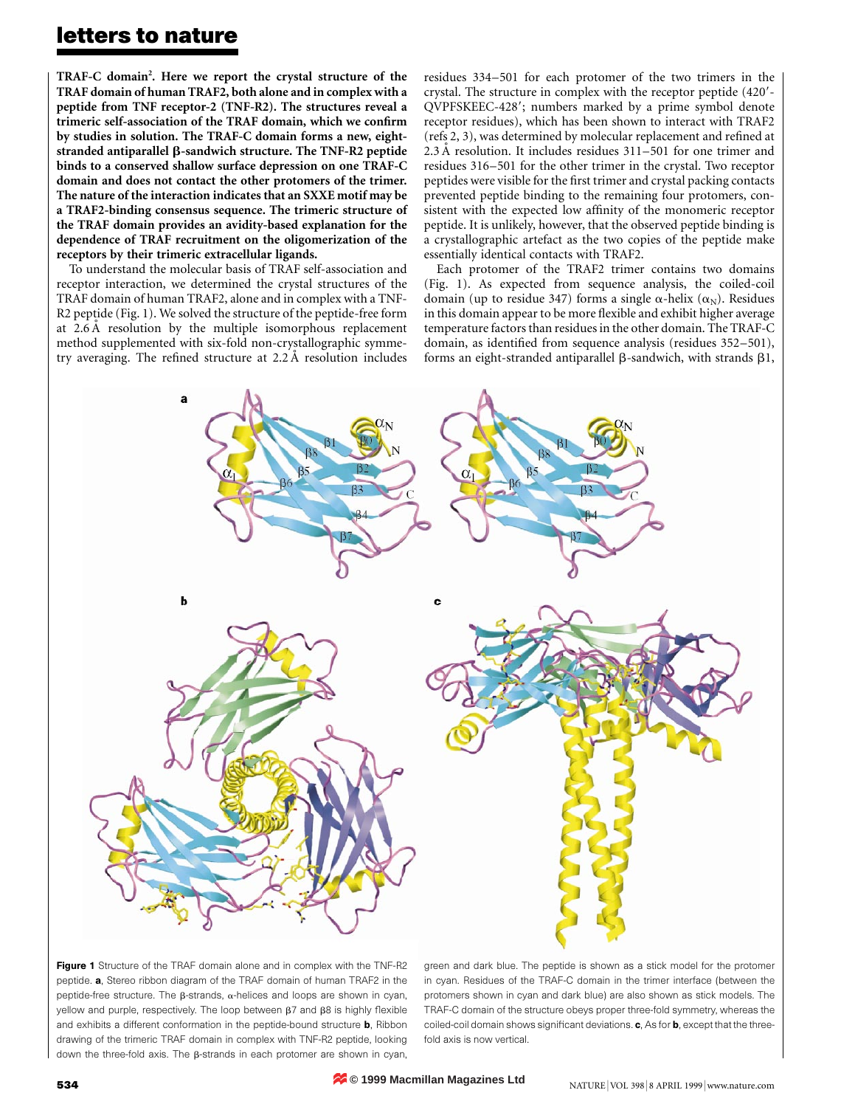TRAF-C domain<sup>2</sup>. Here we report the crystal structure of the TRAF domain of human TRAF2, both alone and in complex with a peptide from TNF receptor-2 (TNF-R2). The structures reveal a trimeric self-association of the TRAF domain, which we confirm by studies in solution. The TRAF-C domain forms a new, eightstranded antiparallel  $\beta$ -sandwich structure. The TNF-R2 peptide binds to a conserved shallow surface depression on one TRAF-C domain and does not contact the other protomers of the trimer. The nature of the interaction indicates that an SXXE motif may be a TRAF2-binding consensus sequence. The trimeric structure of the TRAF domain provides an avidity-based explanation for the dependence of TRAF recruitment on the oligomerization of the receptors by their trimeric extracellular ligands.

To understand the molecular basis of TRAF self-association and receptor interaction, we determined the crystal structures of the TRAF domain of human TRAF2, alone and in complex with a TNF-R2 peptide (Fig. 1). We solved the structure of the peptide-free form at  $2.6 \text{ Å}$  resolution by the multiple isomorphous replacement method supplemented with six-fold non-crystallographic symmetry averaging. The refined structure at  $2.2 \text{ Å}$  resolution includes

residues  $334-501$  for each protomer of the two trimers in the crystal. The structure in complex with the receptor peptide (420'-QVPFSKEEC-428'; numbers marked by a prime symbol denote receptor residues), which has been shown to interact with TRAF2 (refs  $2, 3$ ), was determined by molecular replacement and refined at 2.3 Å resolution. It includes residues  $311-501$  for one trimer and residues 316-501 for the other trimer in the crystal. Two receptor peptides were visible for the first trimer and crystal packing contacts prevented peptide binding to the remaining four protomers, consistent with the expected low affinity of the monomeric receptor peptide. It is unlikely, however, that the observed peptide binding is a crystallographic artefact as the two copies of the peptide make essentially identical contacts with TRAF2.

Each protomer of the TRAF2 trimer contains two domains (Fig. 1). As expected from sequence analysis, the coiled-coil domain (up to residue 347) forms a single  $\alpha$ -helix ( $\alpha_N$ ). Residues in this domain appear to be more flexible and exhibit higher average temperature factors than residues in the other domain. The TRAF-C domain, as identified from sequence analysis (residues 352-501), forms an eight-stranded antiparallel  $\beta$ -sandwich, with strands  $\beta$ 1,



Figure 1 Structure of the TRAF domain alone and in complex with the TNF-R2 peptide. a, Stereo ribbon diagram of the TRAF domain of human TRAF2 in the peptide-free structure. The  $\beta$ -strands,  $\alpha$ -helices and loops are shown in cyan, yellow and purple, respectively. The loop between  $\beta$ 7 and  $\beta$ 8 is highly flexible and exhibits a different conformation in the peptide-bound structure **b**, Ribbon drawing of the trimeric TRAF domain in complex with TNF-R2 peptide, looking down the three-fold axis. The  $\beta$ -strands in each protomer are shown in cyan,

green and dark blue. The peptide is shown as a stick model for the protomer in cyan. Residues of the TRAF-C domain in the trimer interface (between the protomers shown in cyan and dark blue) are also shown as stick models. The TRAF-C domain of the structure obeys proper three-fold symmetry, whereas the coiled-coil domain shows significant deviations.  $c$ , As for  $b$ , except that the threefold axis is now vertical.

**© 1999 Macmillan Magazines Ltd**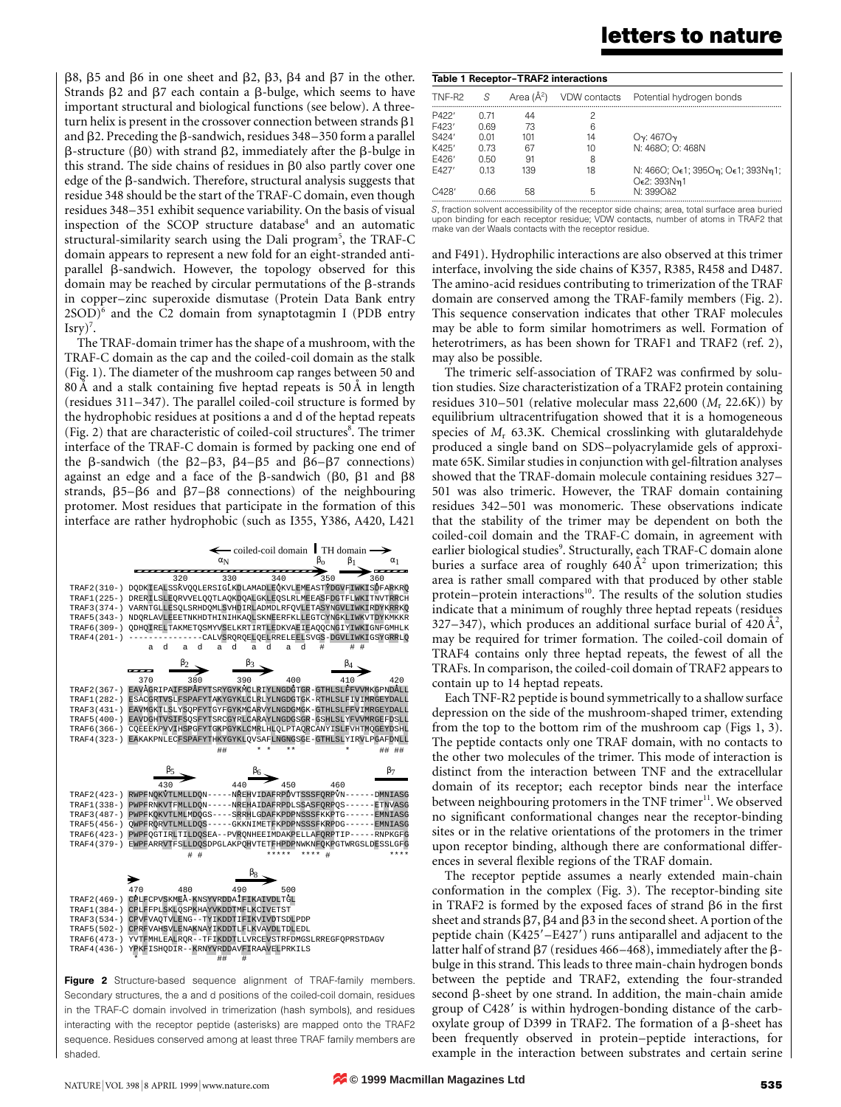$\beta$ 8,  $\beta$ 5 and  $\beta$ 6 in one sheet and  $\beta$ 2,  $\beta$ 3,  $\beta$ 4 and  $\beta$ 7 in the other. Strands  $\beta$ 2 and  $\beta$ 7 each contain a  $\beta$ -bulge, which seems to have important structural and biological functions (see below). A threeturn helix is present in the crossover connection between strands  $\beta$ 1 and  $\beta$ 2. Preceding the  $\beta$ -sandwich, residues 348–350 form a parallel  $\beta$ -structure ( $\beta$ 0) with strand  $\beta$ 2, immediately after the  $\beta$ -bulge in this strand. The side chains of residues in  $\beta$ 0 also partly cover one edge of the B-sandwich. Therefore, structural analysis suggests that residue 348 should be the start of the TRAF-C domain, even though residues 348–351 exhibit sequence variability. On the basis of visual inspection of the SCOP structure database<sup>4</sup> and an automatic structural-similarity search using the Dali program<sup>5</sup>, the TRAF-C domain appears to represent a new fold for an eight-stranded antiparallel  $\beta$ -sandwich. However, the topology observed for this domain may be reached by circular permutations of the  $\beta$ -strands in copper-zinc superoxide dismutase (Protein Data Bank entry  $2SOD)^6$  and the C2 domain from synaptotagmin I (PDB entry  $Isry)^7$ .

The TRAF-domain trimer has the shape of a mushroom, with the TRAF-C domain as the cap and the coiled-coil domain as the stalk (Fig. 1). The diameter of the mushroom cap ranges between 50 and  $80 \text{ Å}$  and a stalk containing five heptad repeats is  $50 \text{ Å}$  in length (residues  $311-347$ ). The parallel coiled-coil structure is formed by the hydrophobic residues at positions a and d of the heptad repeats (Fig. 2) that are characteristic of coiled-coil structures $8$ . The trimer interface of the TRAF-C domain is formed by packing one end of the  $\beta$ -sandwich (the  $\beta$ 2– $\beta$ 3,  $\beta$ 4– $\beta$ 5 and  $\beta$ 6– $\beta$ 7 connections) against an edge and a face of the  $\beta$ -sandwich ( $\beta$ 0,  $\beta$ 1 and  $\beta$ 8 strands,  $\beta$ 5- $\beta$ 6 and  $\beta$ 7- $\beta$ 8 connections) of the neighbouring protomer. Most residues that participate in the formation of this interface are rather hydrophobic (such as I355, Y386, A420, L421



Figure 2 Structure-based sequence alignment of TRAF-family members. Secondary structures, the a and d positions of the coiled-coil domain, residues in the TRAF-C domain involved in trimerization (hash symbols), and residues interacting with the receptor peptide (asterisks) are mapped onto the TRAF2 sequence. Residues conserved among at least three TRAF family members are shaded.

S, fraction solvent accessibility of the receptor side chains; area, total surface area buried upon binding for each receptor residue; VDW contacts, number of atoms in TRAF2 that make van der Waals contacts with the receptor residue.

and F491). Hydrophilic interactions are also observed at this trimer interface, involving the side chains of K357, R385, R458 and D487. The amino-acid residues contributing to trimerization of the TRAF domain are conserved among the TRAF-family members (Fig. 2). This sequence conservation indicates that other TRAF molecules may be able to form similar homotrimers as well. Formation of heterotrimers, as has been shown for TRAF1 and TRAF2 (ref. 2), may also be possible.

The trimeric self-association of TRAF2 was confirmed by solution studies. Size characteristization of a TRAF2 protein containing residues 310-501 (relative molecular mass 22,600 ( $M_r$  22.6K)) by equilibrium ultracentrifugation showed that it is a homogeneous species of  $M_r$  63.3K. Chemical crosslinking with glutaraldehyde produced a single band on SDS-polyacrylamide gels of approximate 65K. Similar studies in conjunction with gel-filtration analyses showed that the TRAF-domain molecule containing residues 327 $-$ 501 was also trimeric. However, the TRAF domain containing residues 342–501 was monomeric. These observations indicate that the stability of the trimer may be dependent on both the coiled-coil domain and the TRAF-C domain, in agreement with earlier biological studies<sup>9</sup>. Structurally, each TRAF-C domain alone buries a surface area of roughly  $640 \text{ Å}^2$  upon trimerization; this area is rather small compared with that produced by other stable protein-protein interactions<sup>10</sup>. The results of the solution studies indicate that a minimum of roughly three heptad repeats (residues 327-347), which produces an additional surface burial of  $420 \text{ Å}^2$ , may be required for trimer formation. The coiled-coil domain of TRAF4 contains only three heptad repeats, the fewest of all the TRAFs. In comparison, the coiled-coil domain of TRAF2 appears to contain up to 14 heptad repeats.

Each TNF-R2 peptide is bound symmetrically to a shallow surface depression on the side of the mushroom-shaped trimer, extending from the top to the bottom rim of the mushroom cap (Figs 1, 3). The peptide contacts only one TRAF domain, with no contacts to the other two molecules of the trimer. This mode of interaction is distinct from the interaction between TNF and the extracellular domain of its receptor; each receptor binds near the interface between neighbouring protomers in the TNF trimer<sup>11</sup>. We observed no significant conformational changes near the receptor-binding sites or in the relative orientations of the protomers in the trimer upon receptor binding, although there are conformational differences in several flexible regions of the TRAF domain.

The receptor peptide assumes a nearly extended main-chain conformation in the complex (Fig. 3). The receptor-binding site in TRAF2 is formed by the exposed faces of strand  $\beta$ 6 in the first sheet and strands  $\beta$ 7,  $\beta$ 4 and  $\beta$ 3 in the second sheet. A portion of the peptide chain  $(K425' – E427')$  runs antiparallel and adjacent to the latter half of strand  $\beta$ 7 (residues 466-468), immediately after the  $\beta$ bulge in this strand. This leads to three main-chain hydrogen bonds between the peptide and TRAF2, extending the four-stranded second  $\beta$ -sheet by one strand. In addition, the main-chain amide group of C428' is within hydrogen-bonding distance of the carboxylate group of D399 in TRAF2. The formation of a  $\beta$ -sheet has been frequently observed in protein-peptide interactions, for example in the interaction between substrates and certain serine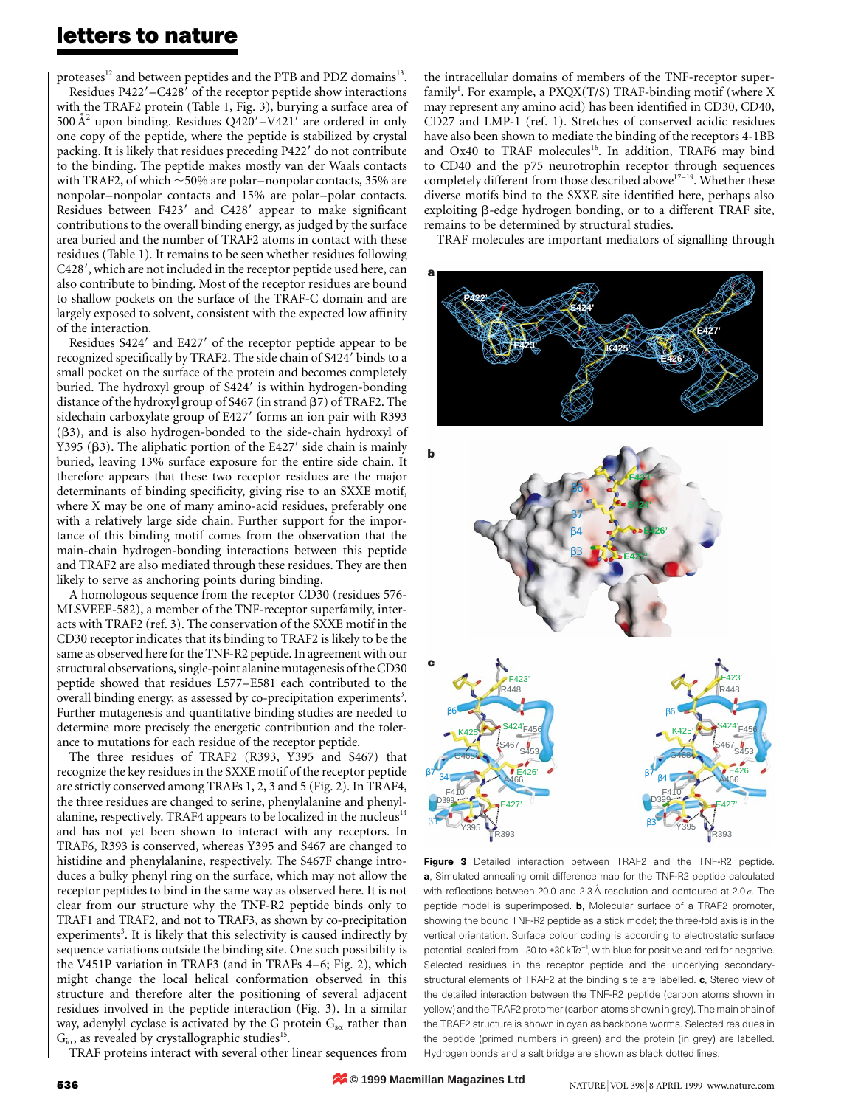proteases<sup>12</sup> and between peptides and the PTB and PDZ domains<sup>13</sup>. Residues  $P422' - C428'$  of the receptor peptide show interactions with the TRAF2 protein (Table 1, Fig. 3), burying a surface area of 500  $A^2$  upon binding. Residues Q420'-V421' are ordered in only one copy of the peptide, where the peptide is stabilized by crystal packing. It is likely that residues preceding P422' do not contribute to the binding. The peptide makes mostly van der Waals contacts with TRAF2, of which  $\sim$  50% are polar–nonpolar contacts, 35% are nonpolar-nonpolar contacts and 15% are polar-polar contacts. Residues between F423' and C428' appear to make significant contributions to the overall binding energy, as judged by the surface area buried and the number of TRAF2 atoms in contact with these residues (Table 1). It remains to be seen whether residues following C428', which are not included in the receptor peptide used here, can also contribute to binding. Most of the receptor residues are bound to shallow pockets on the surface of the TRAF-C domain and are largely exposed to solvent, consistent with the expected low affinity of the interaction.

Residues S424' and E427' of the receptor peptide appear to be recognized specifically by TRAF2. The side chain of S424' binds to a small pocket on the surface of the protein and becomes completely buried. The hydroxyl group of  $S424'$  is within hydrogen-bonding distance of the hydroxyl group of S467 (in strand  $\beta$ 7) of TRAF2. The sidechain carboxylate group of E427' forms an ion pair with R393  $(\beta3)$ , and is also hydrogen-bonded to the side-chain hydroxyl of Y395 ( $\beta$ 3). The aliphatic portion of the E427' side chain is mainly buried, leaving 13% surface exposure for the entire side chain. It therefore appears that these two receptor residues are the major determinants of binding specificity, giving rise to an SXXE motif, where X may be one of many amino-acid residues, preferably one with a relatively large side chain. Further support for the importance of this binding motif comes from the observation that the main-chain hydrogen-bonding interactions between this peptide and TRAF2 are also mediated through these residues. They are then likely to serve as anchoring points during binding.

A homologous sequence from the receptor CD30 (residues 576- MLSVEEE-582), a member of the TNF-receptor superfamily, interacts with TRAF2 (ref. 3). The conservation of the SXXE motif in the CD30 receptor indicates that its binding to TRAF2 is likely to be the same as observed here for the TNF-R2 peptide. In agreement with our structural observations, single-point alanine mutagenesis of the CD30 peptide showed that residues L577-E581 each contributed to the overall binding energy, as assessed by co-precipitation experiments<sup>3</sup>. Further mutagenesis and quantitative binding studies are needed to determine more precisely the energetic contribution and the tolerance to mutations for each residue of the receptor peptide.

The three residues of TRAF2 (R393, Y395 and S467) that recognize the key residues in the SXXE motif of the receptor peptide are strictly conserved among TRAFs 1, 2, 3 and 5 (Fig. 2). In TRAF4, the three residues are changed to serine, phenylalanine and phenylalanine, respectively. TRAF4 appears to be localized in the nucleus<sup>14</sup> and has not yet been shown to interact with any receptors. In TRAF6, R393 is conserved, whereas Y395 and S467 are changed to histidine and phenylalanine, respectively. The S467F change introduces a bulky phenyl ring on the surface, which may not allow the receptor peptides to bind in the same way as observed here. It is not clear from our structure why the TNF-R2 peptide binds only to TRAF1 and TRAF2, and not to TRAF3, as shown by co-precipitation experiments<sup>3</sup>. It is likely that this selectivity is caused indirectly by sequence variations outside the binding site. One such possibility is the V451P variation in TRAF3 (and in TRAFs 4-6; Fig. 2), which might change the local helical conformation observed in this structure and therefore alter the positioning of several adjacent residues involved in the peptide interaction (Fig. 3). In a similar way, adenylyl cyclase is activated by the G protein  $G_{\text{so}}$  rather than  $G_{i\alpha}$ , as revealed by crystallographic studies<sup>15</sup>.

TRAF proteins interact with several other linear sequences from

the intracellular domains of members of the TNF-receptor superfamily<sup>1</sup>. For example, a PXQX(T/S) TRAF-binding motif (where X may represent any amino acid) has been identified in CD30, CD40, CD27 and LMP-1 (ref. 1). Stretches of conserved acidic residues have also been shown to mediate the binding of the receptors 4-1BB and Ox40 to TRAF molecules<sup>16</sup>. In addition, TRAF6 may bind to CD40 and the p75 neurotrophin receptor through sequences completely different from those described above<sup>17-19</sup>. Whether these diverse motifs bind to the SXXE site identified here, perhaps also exploiting  $\beta$ -edge hydrogen bonding, or to a different TRAF site, remains to be determined by structural studies.

TRAF molecules are important mediators of signalling through



Figure 3 Detailed interaction between TRAF2 and the TNF-R2 peptide. a, Simulated annealing omit difference map for the TNF-R2 peptide calculated with reflections between 20.0 and 2.3 Å resolution and contoured at 2.0  $\sigma$ . The peptide model is superimposed. **b**, Molecular surface of a TRAF2 promoter, showing the bound TNF-R2 peptide as a stick model; the three-fold axis is in the vertical orientation. Surface colour coding is according to electrostatic surface potential, scaled from -30 to +30 kTe<sup>-1</sup>, with blue for positive and red for negative. Selected residues in the receptor peptide and the underlying secondarystructural elements of TRAF2 at the binding site are labelled. c, Stereo view of the detailed interaction between the TNF-R2 peptide (carbon atoms shown in yellow) and the TRAF2 protomer (carbon atoms shown in grey). The main chain of the TRAF2 structure is shown in cyan as backbone worms. Selected residues in the peptide (primed numbers in green) and the protein (in grey) are labelled. Hydrogen bonds and a salt bridge are shown as black dotted lines.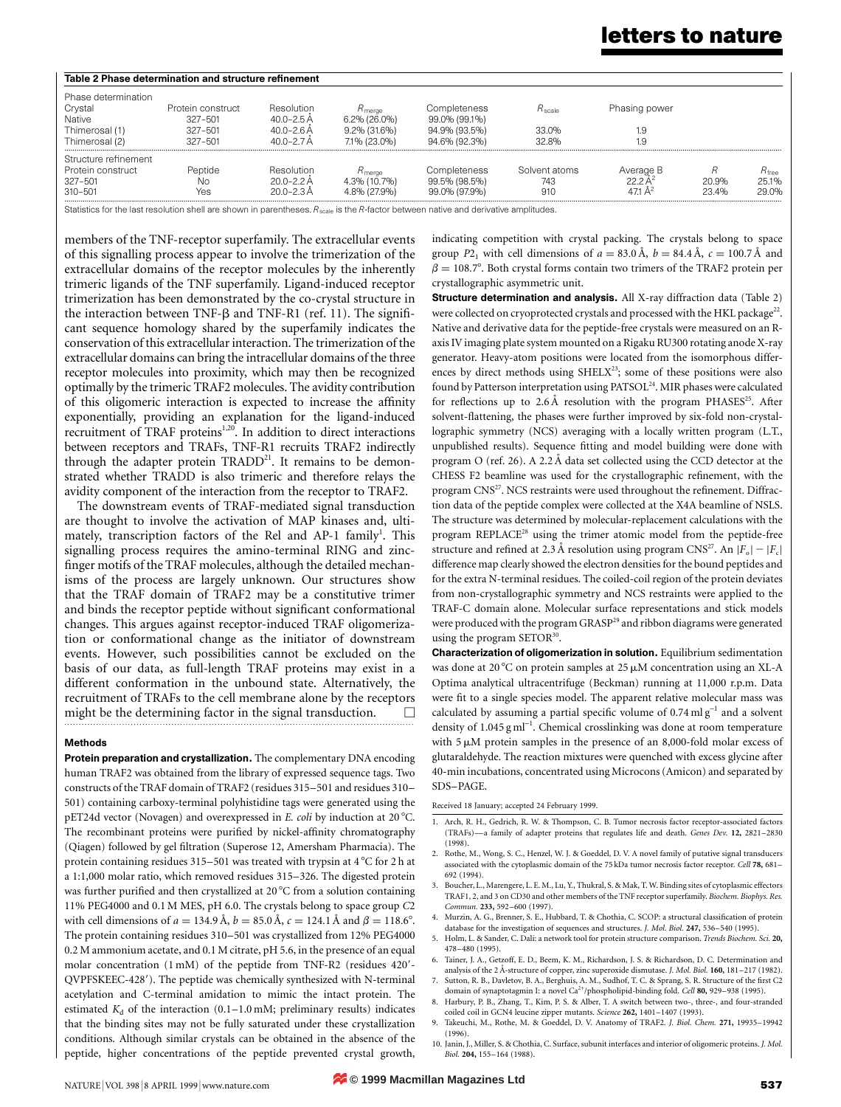| $R_{\rm free}$ |
|----------------|
| 25.1%          |
| 29.0%          |
|                |

Statistics for the last resolution shell are shown in parentheses.  $R_{scale}$  is the R-factor between native and derivative amplitudes.

members of the TNF-receptor superfamily. The extracellular events of this signalling process appear to involve the trimerization of the extracellular domains of the receptor molecules by the inherently trimeric ligands of the TNF superfamily. Ligand-induced receptor trimerization has been demonstrated by the co-crystal structure in the interaction between TNF- $\beta$  and TNF-R1 (ref. 11). The significant sequence homology shared by the superfamily indicates the conservation of this extracellular interaction. The trimerization of the extracellular domains can bring the intracellular domains of the three receptor molecules into proximity, which may then be recognized optimally by the trimeric TRAF2 molecules. The avidity contribution of this oligomeric interaction is expected to increase the affinity exponentially, providing an explanation for the ligand-induced recruitment of TRAF proteins<sup>1,20</sup>. In addition to direct interactions between receptors and TRAFs, TNF-R1 recruits TRAF2 indirectly through the adapter protein TRADD<sup>21</sup>. It remains to be demonstrated whether TRADD is also trimeric and therefore relays the avidity component of the interaction from the receptor to TRAF2.

The downstream events of TRAF-mediated signal transduction are thought to involve the activation of MAP kinases and, ultimately, transcription factors of the Rel and AP-1 family<sup>1</sup>. This signalling process requires the amino-terminal RING and zinc finger motifs of the TRAF molecules, although the detailed mechanisms of the process are largely unknown. Our structures show that the TRAF domain of TRAF2 may be a constitutive trimer and binds the receptor peptide without significant conformational changes. This argues against receptor-induced TRAF oligomerization or conformational change as the initiator of downstream events. However, such possibilities cannot be excluded on the basis of our data, as full-length TRAF proteins may exist in a different conformation in the unbound state. Alternatively, the recruitment of TRAFs to the cell membrane alone by the receptors might be the determining factor in the signal transduction.  $\Box$ 

#### Methods

Protein preparation and crystallization. The complementary DNA encoding human TRAF2 was obtained from the library of expressed sequence tags. Two constructs of the TRAF domain of TRAF2 (residues 315-501 and residues 310-501) containing carboxy-terminal polyhistidine tags were generated using the pET24d vector (Novagen) and overexpressed in  $E$ . coli by induction at 20 °C. The recombinant proteins were purified by nickel-affinity chromatography (Qiagen) followed by gel filtration (Superose 12, Amersham Pharmacia). The protein containing residues 315-501 was treated with trypsin at  $4^{\circ}$ C for 2 h at a 1:1,000 molar ratio, which removed residues 315-326. The digested protein was further purified and then crystallized at 20  $^{\circ}$ C from a solution containing 11% PEG4000 and 0.1 M MES, pH 6.0. The crystals belong to space group C2 with cell dimensions of  $a = 134.9 \text{ Å}$ ,  $b = 85.0 \text{ Å}$ ,  $c = 124.1 \text{ Å}$  and  $\beta = 118.6^{\circ}$ . The protein containing residues 310-501 was crystallized from 12% PEG4000 0.2 M ammonium acetate, and 0.1 M citrate, pH 5.6, in the presence of an equal molar concentration (1 mM) of the peptide from TNF-R2 (residues 420'-QVPFSKEEC-428'). The peptide was chemically synthesized with N-terminal acetylation and C-terminal amidation to mimic the intact protein. The estimated  $K_d$  of the interaction (0.1-1.0 mM; preliminary results) indicates that the binding sites may not be fully saturated under these crystallization conditions. Although similar crystals can be obtained in the absence of the peptide, higher concentrations of the peptide prevented crystal growth, indicating competition with crystal packing. The crystals belong to space group  $P2_1$  with cell dimensions of  $a = 83.0 \text{ Å}$ ,  $b = 84.4 \text{ Å}$ ,  $c = 100.7 \text{ Å}$  and  $\beta = 108.7^{\circ}$ . Both crystal forms contain two trimers of the TRAF2 protein per crystallographic asymmetric unit.

Structure determination and analysis. All X-ray diffraction data (Table 2) were collected on cryoprotected crystals and processed with the HKL package<sup>22</sup>. Native and derivative data for the peptide-free crystals were measured on an Raxis IV imaging plate system mounted on a Rigaku RU300 rotating anode X-ray generator. Heavy-atom positions were located from the isomorphous differences by direct methods using  $SHELX<sup>23</sup>$ ; some of these positions were also found by Patterson interpretation using PATSOL<sup>24</sup>. MIR phases were calculated for reflections up to  $2.6 \text{ Å}$  resolution with the program PHASES<sup>25</sup>. After solvent-flattening, the phases were further improved by six-fold non-crystallographic symmetry (NCS) averaging with a locally written program (L.T., unpublished results). Sequence fitting and model building were done with program O (ref. 26). A 2.2 Å data set collected using the CCD detector at the CHESS F2 beamline was used for the crystallographic refinement, with the program CNS<sup>27</sup>. NCS restraints were used throughout the refinement. Diffraction data of the peptide complex were collected at the X4A beamline of NSLS. The structure was determined by molecular-replacement calculations with the program REPLACE<sup>28</sup> using the trimer atomic model from the peptide-free structure and refined at 2.3 Å resolution using program CNS<sup>27</sup>. An  $|F_{o}| = |F_{c}|$ difference map clearly showed the electron densities for the bound peptides and for the extra N-terminal residues. The coiled-coil region of the protein deviates from non-crystallographic symmetry and NCS restraints were applied to the TRAF-C domain alone. Molecular surface representations and stick models were produced with the program GRASP<sup>29</sup> and ribbon diagrams were generated using the program SETO $R^{30}$ .

Characterization of oligomerization in solution. Equilibrium sedimentation was done at  $20^{\circ}$ C on protein samples at  $25 \mu$ M concentration using an XL-A Optima analytical ultracentrifuge (Beckman) running at 11,000 r.p.m. Data were fit to a single species model. The apparent relative molecular mass was calculated by assuming a partial specific volume of  $0.74 \text{ mkg}^{-1}$  and a solvent density of 1.045 g ml<sup>-1</sup>. Chemical crosslinking was done at room temperature with  $5 \mu M$  protein samples in the presence of an 8,000-fold molar excess of glutaraldehyde. The reaction mixtures were quenched with excess glycine after 40-min incubations, concentrated using Microcons (Amicon) and separated by SDS±PAGE.

Received 18 January; accepted 24 February 1999.

- 1. Arch, R. H., Gedrich, R. W. & Thompson, C. B. Tumor necrosis factor receptor-associated factors (TRAFs)—a family of adapter proteins that regulates life and death. Genes Dev. 12, 2821-2830 (1998).
- 2. Rothe, M., Wong, S. C., Henzel, W. J. & Goeddel, D. V. A novel family of putative signal transducers associated with the cytoplasmic domain of the 75 kDa tumor necrosis factor receptor. Cell 78, 681-692 (1994).
- 3. Boucher, L., Marengere, L. E. M., Lu, Y., Thukral, S. & Mak, T. W. Binding sites of cytoplasmic effectors TRAF1, 2, and 3 on CD30 and other members of the TNF receptor superfamily. Biochem. Biophys. Res. Commun. 233, 592-600 (1997).
- 4. Murzin, A. G., Brenner, S. E., Hubbard, T. & Chothia, C. SCOP: a structural classification of protein database for the investigation of sequences and structures. J. Mol. Biol. 247, 536-540 (1995)
- 5. Holm, L. & Sander, C. Dali: a network tool for protein structure comparison. Trends Biochem. Sci. 20, 478±480 (1995).
- 6. Tainer, J. A., Getzoff, E. D., Beem, K. M., Richardson, J. S. & Richardson, D. C. Determination and analysis of the 2 Å-structure of copper, zinc superoxide dismutase. J. Mol. Biol. 160, 181-217 (1982). 7. Sutton, R. B., Davletov, B. A., Berghuis, A. M., Sudhof, T. C. & Sprang, S. R. Structure of the first C2
- domain of synaptotagmin I: a novel  $Ca^{2+}/p$ hospholipid-binding fold. Cell 80, 929–938 (1995). 8. Harbury, P. B., Zhang, T., Kim, P. S. & Alber, T. A switch between two-, three-, and four-stranded
- coiled coil in GCN4 leucine zipper mutants. Science 262, 1401=1407 (1993).
- 9. Takeuchi, M., Rothe, M. & Goeddel, D. V. Anatomy of TRAF2. J. Biol. Chem. 271, 19935-19942 (1996).
- 10. Janin, J., Miller, S. & Chothia, C. Surface, subunit interfaces and interior of oligomeric proteins. J. Mol. Biol. 204, 155=164 (1988).